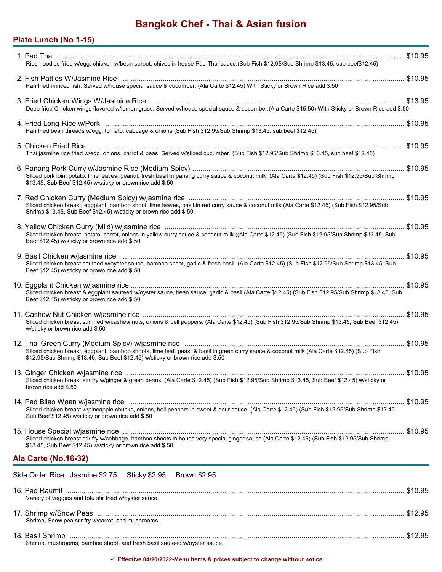# **Bangkok Chef - Thai & Asian fusion**

# **Plate Lunch (No 1-15)**

| Rice-noodles fried w/egg, chicken w/bean sprout, chives in house Pad Thai sauce.(Sub Fish \$12.95/Sub Shrimp \$13.45, sub beef\$12.45)                                                                                       |  |
|------------------------------------------------------------------------------------------------------------------------------------------------------------------------------------------------------------------------------|--|
| Pan fried minced fish. Served w/house special sauce & cucumber. (Ala Carte \$12.45) With Sticky or Brown Rice add \$.50                                                                                                      |  |
| Deep fried Chicken wings flavored w/lemon grass. Served w/house special sauce & cucumber (Ala Carte \$15.50) With Sticky or Brown Rice add \$.50                                                                             |  |
| Pan fried bean threads w/egg, tomato, cabbage & onions. (Sub Fish \$12.95/Sub Shrimp \$13.45, sub beef \$12.45)                                                                                                              |  |
| Thai jasmine rice fried w/egg, onions, carrot & peas. Served w/sliced cucumber. (Sub Fish \$12.95/Sub Shrimp \$13.45, sub beef \$12.45)                                                                                      |  |
| Sliced pork loin, potato, lime leaves, peanut, fresh basil in panang curry sauce & coconut milk. (Ala Carte \$12.45) (Sub Fish \$12.95/Sub Shrimp<br>\$13.45, Sub Beef \$12.45) w/sticky or brown rice add \$.50             |  |
| Sliced chicken breast, eggplant, bamboo shoot, lime leaves, basil in red curry sauce & coconut milk (Ala Carte \$12.45) (Sub Fish \$12.95/Sub<br>Shrimp \$13.45, Sub Beef \$12.45) w/sticky or brown rice add \$.50          |  |
| Sliced chicken breast, potato, carrot, onions in yellow curry sauce & coconut milk.((Ala Carte \$12.45) (Sub Fish \$12.95/Sub Shrimp \$13.45, Sub<br>Beef \$12.45) w/sticky or brown rice add \$.50                          |  |
| Sliced chicken breast sauteed w/oyster sauce, bamboo shoot, garlic & fresh basil. (Ala Carte \$12.45) (Sub Fish \$12.95/Sub Shrimp \$13.45, Sub<br>Beef \$12.45) w/sticky or brown rice add \$.50                            |  |
| Sliced chicken breast & eggplant sauteed w/oyster sauce, bean sauce, garlic & basil. (Ala Carte \$12.45) (Sub Fish \$12.95/Sub Shrimp \$13.45, Sub<br>Beef \$12.45) w/sticky or brown rice add \$.50                         |  |
| Sliced chicken breast stir fried w/cashew nuts, onions & bell peppers. (Ala Carte \$12.45) (Sub Fish \$12.95/Sub Shrimp \$13.45, Sub Beef \$12.45)<br>w/sticky or brown rice add \$.50                                       |  |
| Sliced chicken breast, eggplant, bamboo shoots, lime leaf, peas, & basil in green curry sauce & coconut milk (Ala Carte \$12.45) (Sub Fish<br>\$12.95/Sub Shrimp \$13.45, Sub Beef \$12.45) w/sticky or brown rice add \$.50 |  |
| \$10.95<br>Sliced chicken breast stir fry w/ginger & green beans. (Ala Carte \$12.45) (Sub Fish \$12.95/Sub Shrimp \$13.45, Sub Beef \$12.45) w/sticky or<br>brown rice add \$.50                                            |  |
| Sliced chicken breast w/pineapple chunks, onions, bell peppers in sweet & sour sauce. (Ala Carte \$12.45) (Sub Fish \$12.95/Sub Shrimp \$13.45,<br>Sub Beef \$12.45) w/sticky or brown rice add \$.50                        |  |
| Sliced chicken breast stir fry w/cabbage, bamboo shoots in house very special ginger sauce.(Ala Carte \$12.45) (Sub Fish \$12.95/Sub Shrimp<br>\$13.45, Sub Beef \$12.45) w/sticky or brown rice add \$.50                   |  |
| <b>Ala Carte (No.16-32)</b>                                                                                                                                                                                                  |  |
| Side Order Rice: Jasmine \$2.75 Sticky \$2.95 Brown \$2.95                                                                                                                                                                   |  |
| Variety of veggies and tofu stir fried w/oyster sauce.                                                                                                                                                                       |  |
| Shrimp, Snow pea stir fry w/carrot, and mushrooms.                                                                                                                                                                           |  |
|                                                                                                                                                                                                                              |  |

Shrimp, mushrooms, bamboo shoot, and fresh basil sauteed w/oyster sauce.